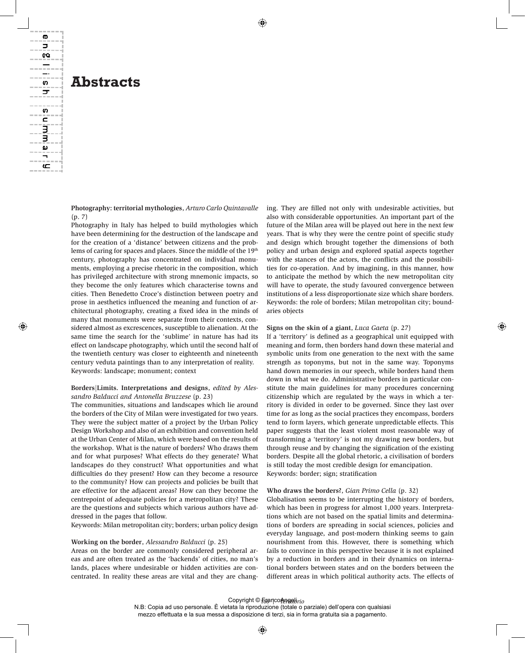# **Abstracts**

ወ コ œ

—s ᠴ

S c E<br>B ω ≒ ع

> **Photography: territorial mythologies**, *Arturo Carlo Quintavalle* (p. 7)

> Photography in Italy has helped to build mythologies which have been determining for the destruction of the landscape and for the creation of a 'distance' between citizens and the problems of caring for spaces and places. Since the middle of the 19th century, photography has concentrated on individual monuments, employing a precise rhetoric in the composition, which has privileged architecture with strong mnemonic impacts, so they become the only features which characterise towns and cities. Then Benedetto Croce's distinction between poetry and prose in aesthetics influenced the meaning and function of architectural photography, creating a fixed idea in the minds of many that monuments were separate from their contexts, considered almost as excrescences, susceptible to alienation. At the same time the search for the 'sublime' in nature has had its effect on landscape photography, which until the second half of the twentieth century was closer to eighteenth and nineteenth century veduta paintings than to any interpretation of reality. Keywords: landscape; monument; context

#### **Borders|Limits. Interpretations and designs**, *edited by Alessandro Balducci and Antonella Bruzzese* (p. 23)

The communities, situations and landscapes which lie around the borders of the City of Milan were investigated for two years. They were the subject matter of a project by the Urban Policy Design Workshop and also of an exhibition and convention held at the Urban Center of Milan, which were based on the results of the workshop. What is the nature of borders? Who draws them and for what purposes? What effects do they generate? What landscapes do they construct? What opportunities and what difficulties do they present? How can they become a resource to the community? How can projects and policies be built that are effective for the adjacent areas? How can they become the centrepoint of adequate policies for a metropolitan city? These are the questions and subjects which various authors have addressed in the pages that follow.

Keywords: Milan metropolitan city; borders; urban policy design

#### **Working on the border**, *Alessandro Balducci* (p. 25)

Areas on the border are commonly considered peripheral areas and are often treated as the 'backends' of cities, no man's lands, places where undesirable or hidden activities are concentrated. In reality these areas are vital and they are changing. They are filled not only with undesirable activities, but also with considerable opportunities. An important part of the future of the Milan area will be played out here in the next few years. That is why they were the centre point of specific study and design which brought together the dimensions of both policy and urban design and explored spatial aspects together with the stances of the actors, the conflicts and the possibilities for co-operation. And by imagining, in this manner, how to anticipate the method by which the new metropolitan city will have to operate, the study favoured convergence between institutions of a less disproportionate size which share borders. Keywords: the role of borders; Milan metropolitan city; boundaries objects

#### **Signs on the skin of a giant**, *Luca Gaeta* (p. 27)

If a 'territory' is defined as a geographical unit equipped with meaning and form, then borders hand down these material and symbolic units from one generation to the next with the same strength as toponyms, but not in the same way. Toponyms hand down memories in our speech, while borders hand them down in what we do. Administrative borders in particular constitute the main guidelines for many procedures concerning citizenship which are regulated by the ways in which a territory is divided in order to be governed. Since they last over time for as long as the social practices they encompass, borders tend to form layers, which generate unpredictable effects. This paper suggests that the least violent most reasonable way of transforming a 'territory' is not my drawing new borders, but through reuse and by changing the signification of the existing borders. Despite all the global rhetoric, a civilisation of borders is still today the most credible design for emancipation. Keywords: border; sign; stratification

#### **Who draws the borders?**, *Gian Primo Cella* (p. 32)

Globalisation seems to be interrupting the history of borders, which has been in progress for almost 1,000 years. Interpretations which are not based on the spatial limits and determinations of borders are spreading in social sciences, policies and everyday language, and post-modern thinking seems to gain nourishment from this. However, there is something which fails to convince in this perspective because it is not explained by a reduction in borders and in their dynamics on international borders between states and on the borders between the different areas in which political authority acts. The effects of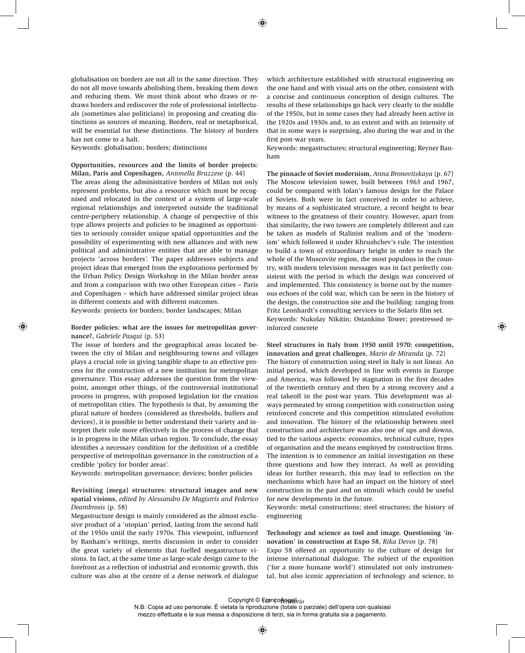globalisation on borders are not all in the same direction. They do not all move towards abolishing them, breaking them down and reducing them. We must think about who draws or redraws borders and rediscover the role of professional intellectuals (sometimes also politicians) in proposing and creating distinctions as sources of meaning. Borders, real or metaphorical, will be essential for these distinctions. The history of borders has not come to a halt.

Keywords: globalisation; borders; distinctions

#### **Opportunities, resources and the limits of border projects: Milan, Paris and Copenhagen**, *Antonella Bruzzese* (p. 44)

The areas along the administrative borders of Milan not only represent problems, but also a resource which must be recognised and relocated in the context of a system of large-scale regional relationships and interpreted outside the traditional centre-periphery relationship. A change of perspective of this type allows projects and policies to be imagined as opportunities to seriously consider unique spatial opportunities and the possibility of experimenting with new alliances and with new political and administrative entities that are able to manage projects 'across borders'. The paper addresses subjects and project ideas that emerged from the explorations performed by the Urban Policy Design Workshop in the Milan border areas and from a comparison with two other European cities – Paris and Copenhagen – which have addressed similar project ideas in different contexts and with different outcomes.

Keywords: projects for borders; border landscapes; Milan

#### **Border policies: what are the issues for metropolitan governance?**, *Gabriele Pasqui* (p. 53)

The issue of borders and the geographical areas located between the city of Milan and neighbouring towns and villages plays a crucial role in giving tangible shape to an effective process for the construction of a new institution for metropolitan governance. This essay addresses the question from the viewpoint, amongst other things, of the controversial institutional process in progress, with proposed legislation for the creation of metropolitan cities. The hypothesis is that, by assuming the plural nature of borders (considered as thresholds, buffers and devices), it is possible to better understand their variety and interpret their role more effectively in the process of change that is in progress in the Milan urban region. To conclude, the essay identifies a necessary condition for the definition of a credible perspective of metropolitan governance in the construction of a credible 'policy for border areas'.

Keywords: metropolitan governance; devices; border policies

## **Revisiting (mega) structures: structural images and new spatial visions**, *edited by Alessandro De Magistris and Federico Deambrosis* (p. 58)

Megastructure design is mainly considered as the almost exclusive product of a 'utopian' period, lasting from the second half of the 1950s until the early 1970s. This viewpoint, influenced by Banham's writings, merits discussion in order to consider the great variety of elements that fuelled megastructure visions. In fact, at the same time as large-scale design came to the forefront as a reflection of industrial and economic growth, this culture was also at the centre of a dense network of dialogue

which architecture established with structural engineering on the one hand and with visual arts on the other, consistent with a concise and continuous conception of design cultures. The results of these relationships go back very clearly to the middle of the 1950s, but in some cases they had already been active in the 1920s and 1930s and, to an extent and with an intensity of that in some ways is surprising, also during the war and in the first post-war years.

Keywords: megastructures; structural engineering; Reyner Banham

**The pinnacle of Soviet modernism**, *Anna Bronovitskaya* (p. 67) The Moscow television tower, built between 1963 and 1967, could be compared with Iofan's famous design for the Palace of Soviets. Both were in fact conceived in order to achieve, by means of a sophisticated structure, a record height to bear witness to the greatness of their country. However, apart from that similarity, the two towers are completely different and can be taken as models of Stalinist realism and of the 'modernism' which followed it under Khrushchev's rule. The intention to build a town of extraordinary height in order to reach the whole of the Muscovite region, the most populous in the country, with modern television messages was in fact perfectly consistent with the period in which the design was conceived of and implemented. This consistency is borne out by the numerous echoes of the cold war, which can be seen in the history of the design, the construction site and the building: ranging from Fritz Leonhardt's consulting services to the Solaris film set. Keywords: Nukolay Nikitin; Ostankino Tower; prestressed reinforced concrete

#### **Steel structures in Italy from 1950 until 1970: competition, innovation and great challenges**, *Mario de Miranda* (p. 72)

The history of construction using steel in Italy is not linear. An initial period, which developed in line with events in Europe and America, was followed by stagnation in the first decades of the twentieth century and then by a strong recovery and a real takeoff in the post-war years. This development was always permeated by strong competition with construction using reinforced concrete and this competition stimulated evolution and innovation. The history of the relationship between steel construction and architecture was also one of ups and downs, tied to the various aspects: economics, technical culture, types of organisation and the means employed by construction firms. The intention is to commence an initial investigation on these three questions and how they interact. As well as providing ideas for further research, this may lead to reflection on the mechanisms which have had an impact on the history of steel construction in the past and on stimuli which could be useful for new developments in the future.

Keywords: metal constructions; steel structures; the history of engineering

#### **Technology and science as tool and image. Questioning 'innovation' in construction at Expo 58**, *Rika Devos* (p. 78)

Expo 58 offered an opportunity to the culture of design for intense international dialogue. The subject of the exposition ('for a more humane world') stimulated not only instrumental, but also iconic appreciation of technology and science, to

## Copyright © <del>Γ</del>յεan¢o<del></del>⁄իթթանենում

N.B: Copia ad uso personale. È vietata la riproduzione (totale o parziale) dell'opera con qualsiasi mezzo effettuata e la sua messa a disposizione di terzi, sia in forma gratuita sia a pagamento.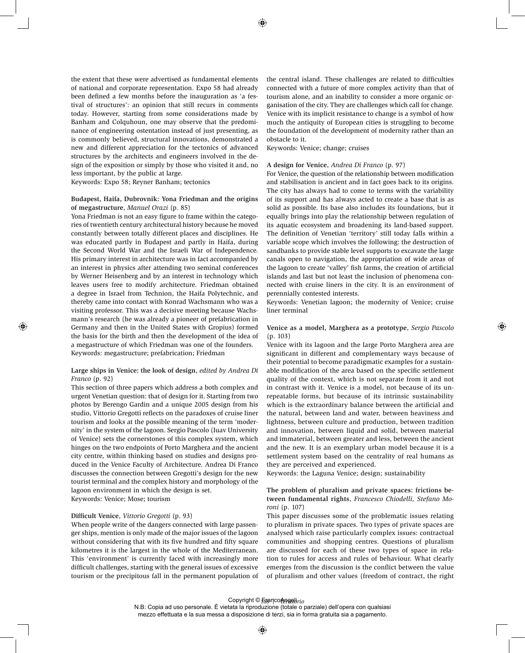the extent that these were advertised as fundamental elements of national and corporate representation. Expo 58 had already been defined a few months before the inauguration as 'a festival of structures': an opinion that still recurs in comments today. However, starting from some considerations made by Banham and Colquhoun, one may observe that the predominance of engineering ostentation instead of just presenting, as is commonly believed, structural innovations, demonstrated a new and different appreciation for the tectonics of advanced structures by the architects and engineers involved in the design of the exposition or simply by those who visited it and, no less important, by the public at large.

Keywords: Expo 58; Reyner Banham; tectonics

#### **Budapest, Haifa, Dubrovnik: Yona Friedman and the origins of megastructure**, *Manuel Orazi* (p. 85)

Yona Friedman is not an easy figure to frame within the categories of twentieth century architectural history because he moved constantly between totally different places and disciplines. He was educated partly in Budapest and partly in Haifa, during the Second World War and the Israeli War of Independence. His primary interest in architecture was in fact accompanied by an interest in physics after attending two seminal conferences by Werner Heisenberg and by an interest in technology which leaves users free to modify architecture. Friedman obtained a degree in Israel from Technion, the Haifa Polytechnic, and thereby came into contact with Konrad Wachsmann who was a visiting professor. This was a decisive meeting because Wachsmann's research (he was already a pioneer of prefabrication in Germany and then in the United States with Gropius) formed the basis for the birth and then the development of the idea of a megastructure of which Friedman was one of the founders. Keywords: megastructure; prefabrication; Friedman

## **Large ships in Venice: the look of design**, *edited by Andrea Di Franco* (p. 92)

This section of three papers which address a both complex and urgent Venetian question: that of design for it. Starting from two photos by Berengo Gardin and a unique 2005 design from his studio, Vittorio Gregotti reflects on the paradoxes of cruise liner tourism and looks at the possible meaning of the term 'modernity' in the system of the lagoon. Sergio Pascolo (Iuav University of Venice) sets the cornerstones of this complex system, which hinges on the two endpoints of Porto Marghera and the ancient city centre, within thinking based on studies and designs produced in the Venice Faculty of Architecture. Andrea Di Franco discusses the connection between Gregotti's design for the new tourist terminal and the complex history and morphology of the lagoon environment in which the design is set.

Keywords: Venice; Mose; tourism

## **Difficult Venice**, *Vittorio Gregotti* (p. 93)

When people write of the dangers connected with large passenger ships, mention is only made of the major issues of the lagoon without considering that with its five hundred and fifty square kilometres it is the largest in the whole of the Mediterranean. This 'environment' is currently faced with increasingly more difficult challenges, starting with the general issues of excessive tourism or the precipitous fall in the permanent population of

the central island. These challenges are related to difficulties connected with a future of more complex activity than that of tourism alone, and an inability to consider a more organic organisation of the city. They are challenges which call for change. Venice with its implicit resistance to change is a symbol of how much the antiquity of European cities is struggling to become the foundation of the development of modernity rather than an obstacle to it.

Keywords: Venice; change; cruises

#### **A design for Venice**, *Andrea Di Franco* (p. 97)

For Venice, the question of the relationship between modification and stabilisation is ancient and in fact goes back to its origins. The city has always had to come to terms with the variability of its support and has always acted to create a base that is as solid as possible. Its base also includes its foundations, but it equally brings into play the relationship between regulation of its aquatic ecosystem and broadening its land-based support. The definition of Venetian 'territory' still today falls within a variable scope which involves the following: the destruction of sandbanks to provide stable level supports to excavate the large canals open to navigation, the appropriation of wide areas of the lagoon to create 'valley' fish farms, the creation of artificial islands and last but not least the inclusion of phenomena connected with cruise liners in the city. It is an environment of perennially contested interests.

Keywords: Venetian lagoon; the modernity of Venice; cruise liner terminal

## **Venice as a model, Marghera as a prototype**, *Sergio Pascolo* (p. 103)

Venice with its lagoon and the large Porto Marghera area are significant in different and complementary ways because of their potential to become paradigmatic examples for a sustainable modification of the area based on the specific settlement quality of the context, which is not separate from it and not in contrast with it. Venice is a model, not because of its unrepeatable forms, but because of its intrinsic sustainability which is the extraordinary balance between the artificial and the natural, between land and water, between heaviness and lightness, between culture and production, between tradition and innovation, between liquid and solid, between material and immaterial, between greater and less, between the ancient and the new. It is an exemplary urban model because it is a settlement system based on the centrality of real humans as they are perceived and experienced.

Keywords: the Laguna Venice; design; sustainability

## **The problem of pluralism and private spaces: frictions between fundamental rights**, *Francesco Chiodelli, Stefano Moroni* (p. 107)

This paper discusses some of the problematic issues relating to pluralism in private spaces. Two types of private spaces are analysed which raise particularly complex issues: contractual communities and shopping centres. Questions of pluralism are discussed for each of these two types of space in relation to rules for access and rules of behaviour. What clearly emerges from the discussion is the conflict between the value of pluralism and other values (freedom of contract, the right

## Copyright © <del>F</del>anco<del>Angab</del>irio

N.B: Copia ad uso personale. È vietata la riproduzione (totale o parziale) dell'opera con qualsiasi mezzo effettuata e la sua messa a disposizione di terzi, sia in forma gratuita sia a pagamento.